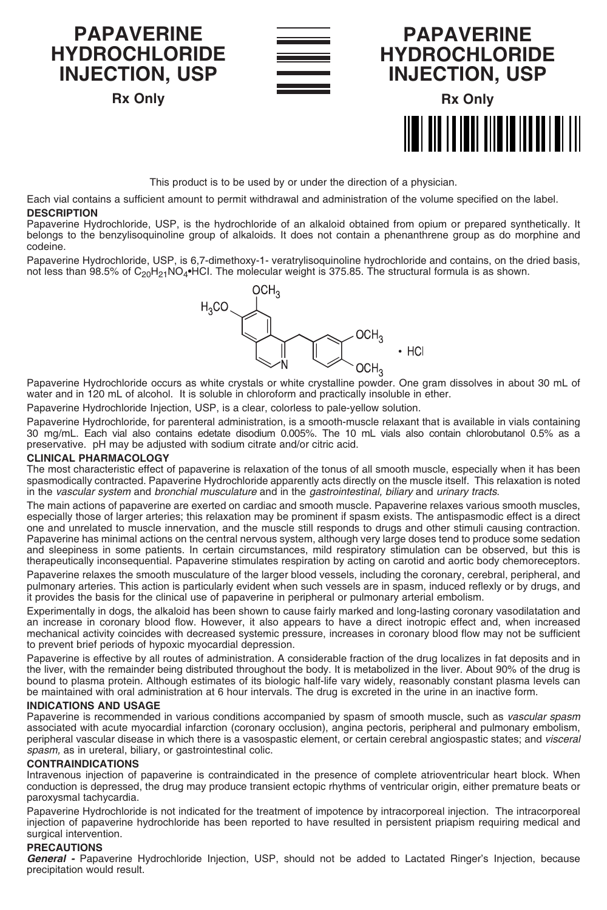**INJECTION, USP Rx Only**

**PAPAVERINE HYDROCHLORIDE**





**PAPAVERINE**

This product is to be used by or under the direction of a physician.

Each vial contains a sufficient amount to permit withdrawal and administration of the volume specified on the label.

## **DESCRIPTION**

Papaverine Hydrochloride, USP, is the hydrochloride of an alkaloid obtained from opium or prepared synthetically. It belongs to the benzylisoquinoline group of alkaloids. It does not contain a phenanthrene group as do morphine and codeine.

Papaverine Hydrochloride, USP, is 6,7-dimethoxy-1- veratrylisoquinoline hydrochloride and contains, on the dried basis,<br>not less than 98.5% of C<sub>20</sub>H<sub>21</sub>NO<sub>4</sub>•HCl. The molecular weight is 375.85. The structural formula is



Papaverine Hydrochloride occurs as white crystals or white crystalline powder. One gram dissolves in about 30 mL of water and in 120 mL of alcohol. It is soluble in chloroform and practically insoluble in ether.

Papaverine Hydrochloride Injection, USP, is a clear, colorless to pale-yellow solution.

Papaverine Hydrochloride, for parenteral administration, is a smooth-muscle relaxant that is available in vials containing 30 mg/mL. Each vial also contains edetate disodium 0.005%. The 10 mL vials also contain chlorobutanol 0.5% as a preservative. pH may be adjusted with sodium citrate and/or citric acid.

# **CLINICAL PHARMACOLOGY**

The most characteristic effect of papaverine is relaxation of the tonus of all smooth muscle, especially when it has been spasmodically contracted. Papaverine Hydrochloride apparently acts directly on the muscle itself. This relaxation is noted in the *vascular system* and *bronchial musculature* and in the *gastrointestinal, biliary* and *urinary tracts*.

The main actions of papaverine are exerted on cardiac and smooth muscle. Papaverine relaxes various smooth muscles, especially those of larger arteries; this relaxation may be prominent if spasm exists. The antispasmodic effect is a direct one and unrelated to muscle innervation, and the muscle still responds to drugs and other stimuli causing contraction. Papaverine has minimal actions on the central nervous system, although very large doses tend to produce some sedation and sleepiness in some patients. In certain circumstances, mild respiratory stimulation can be observed, but this is therapeutically inconsequential. Papaverine stimulates respiration by acting on carotid and aortic body chemoreceptors.

Papaverine relaxes the smooth musculature of the larger blood vessels, including the coronary, cerebral, peripheral, and pulmonary arteries. This action is particularly evident when such vessels are in spasm, induced reflexly or by drugs, and it provides the basis for the clinical use of papaverine in peripheral or pulmonary arterial embolism.

Experimentally in dogs, the alkaloid has been shown to cause fairly marked and long-lasting coronary vasodilatation and an increase in coronary blood flow. However, it also appears to have a direct inotropic effect and, when increased mechanical activity coincides with decreased systemic pressure, increases in coronary blood flow may not be sufficient to prevent brief periods of hypoxic myocardial depression.

Papaverine is effective by all routes of administration. A considerable fraction of the drug localizes in fat deposits and in the liver, with the remainder being distributed throughout the body. It is metabolized in the liver. About 90% of the drug is bound to plasma protein. Although estimates of its biologic half-life vary widely, reasonably constant plasma levels can be maintained with oral administration at 6 hour intervals. The drug is excreted in the urine in an inactive form.

### **INDICATIONS AND USAGE**

Papaverine is recommended in various conditions accompanied by spasm of smooth muscle, such as *vascular spasm* associated with acute myocardial infarction (coronary occlusion), angina pectoris, peripheral and pulmonary embolism, peripheral vascular disease in which there is a vasospastic element, or certain cerebral angiospastic states; and *visceral spasm,* as in ureteral, biliary, or gastrointestinal colic.

## **CONTRAINDICATIONS**

Intravenous injection of papaverine is contraindicated in the presence of complete atrioventricular heart block. When conduction is depressed, the drug may produce transient ectopic rhythms of ventricular origin, either premature beats or paroxysmal tachycardia.

Papaverine Hydrochloride is not indicated for the treatment of impotence by intracorporeal injection. The intracorporeal injection of papaverine hydrochloride has been reported to have resulted in persistent priapism requiring medical and surgical intervention.

# **PRECAUTIONS**

*General -* Papaverine Hydrochloride Injection, USP, should not be added to Lactated Ringer's Injection, because precipitation would result.